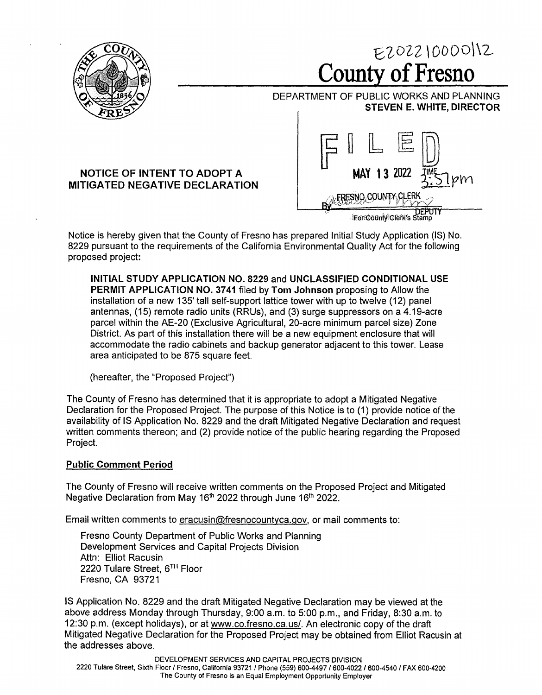

EZ0221000012 **County of Fresno** 

DEPARTMENT OF PUBLIC WORKS AND PLANNING **STEVEN E. WHITE, DIRECTOR** 

## **NOTICE OF INTENT TO ADOPT A MITIGATED NEGATIVE DECLARATION**



Notice is hereby given that the County of Fresno has prepared Initial Study Application (IS) No. 8229 pursuant to the requirements of the California Environmental Quality Act for the following proposed project:

**INITIAL STUDY APPLICATION NO. 8229** and **UNCLASSIFIED CONDITIONAL USE PERMIT APPLICATION NO. 3741** filed by **Tom Johnson** proposing to Allow the installation of a new 135' tall self-support lattice tower with up to twelve (12) panel antennas, (15) remote radio units (RRUs), and (3) surge suppressors on a 4.19-acre parcel within the AE-20 (Exclusive Agricultural, 20-acre minimum parcel size) Zone District. As part of this installation there will be a new equipment enclosure that will accommodate the radio cabinets and backup generator adjacent to this tower. Lease area anticipated to be 875 square feet.

(hereafter, the "Proposed Project")

The County of Fresno has determined that it is appropriate to adopt a Mitigated Negative Declaration for the Proposed Project. The purpose of this Notice is to (1) provide notice of the availability of IS Application No. 8229 and the draft Mitigated Negative Declaration and request written comments thereon; and (2) provide notice of the public hearing regarding the Proposed Project.

## **Public Comment Period**

The County of Fresno will receive written comments on the Proposed Project and Mitigated Negative Declaration from May 16<sup>th</sup> 2022 through June 16<sup>th</sup> 2022.

Email written comments to eracusin@fresnocountyca.gov, or mail comments to:

Fresno County Department of Public Works and Planning Development Services and Capital Projects Division Attn: Elliot Racusin 2220 Tulare Street, 5TH Floor Fresno, CA 93721

IS Application No. 8229 and the draft Mitigated Negative Declaration may be viewed at the above address Monday through Thursday, 9:00 a.m. to 5:00 p.m., and Friday, 8:30 a.m. to 12:30 p.m. (except holidays), or at www.co.fresno.ca.us/. An electronic copy of the draft Mitigated Negative Declaration for the Proposed Project may be obtained from Elliot Racusin at the addresses above.